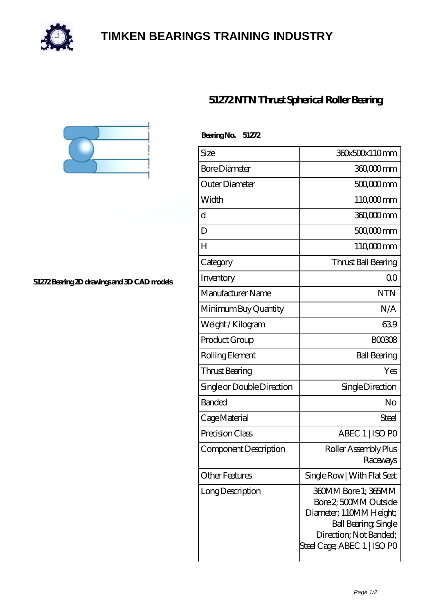

## **[TIMKEN BEARINGS TRAINING INDUSTRY](https://internationaldrugdiscovery.com)**





**[51272 Bearing 2D drawings and 3D CAD models](https://internationaldrugdiscovery.com/pic-920267.html)**

| Bearing No.<br>51272       |                                                                                                                                                         |
|----------------------------|---------------------------------------------------------------------------------------------------------------------------------------------------------|
| Size                       | 360x500x110mm                                                                                                                                           |
| <b>Bore Diameter</b>       | 360,000 mm                                                                                                                                              |
| Outer Diameter             | 500,000 mm                                                                                                                                              |
| Width                      | 110 <sub>c</sub> comm                                                                                                                                   |
| d                          | 360,000 mm                                                                                                                                              |
| D                          | 50000mm                                                                                                                                                 |
| $H_{\rm}$                  | 110 <sub>c</sub> 00mm                                                                                                                                   |
| Category                   | Thrust Ball Bearing                                                                                                                                     |
| Inventory                  | 0 <sup>0</sup>                                                                                                                                          |
| Manufacturer Name          | <b>NTN</b>                                                                                                                                              |
| Minimum Buy Quantity       | N/A                                                                                                                                                     |
| Weight / Kilogram          | 639                                                                                                                                                     |
| Product Group              | <b>BOO3O8</b>                                                                                                                                           |
| Rolling Element            | <b>Ball Bearing</b>                                                                                                                                     |
| Thrust Bearing             | Yes                                                                                                                                                     |
| Single or Double Direction | Single Direction                                                                                                                                        |
| <b>Banded</b>              | No                                                                                                                                                      |
| Cage Material              | Steel                                                                                                                                                   |
| Precision Class            | ABEC 1   ISO PO                                                                                                                                         |
| Component Description      | Roller Assembly Plus<br>Raceways                                                                                                                        |
| Other Features             | Single Row   With Flat Seat                                                                                                                             |
| Long Description           | 360MM Bore 1; 365MM<br>Bore 2 500MM Outside<br>Diameter; 110MM Height;<br>Ball Bearing, Single<br>Direction; Not Banded;<br>Steel Cage; ABEC 1   ISO PO |